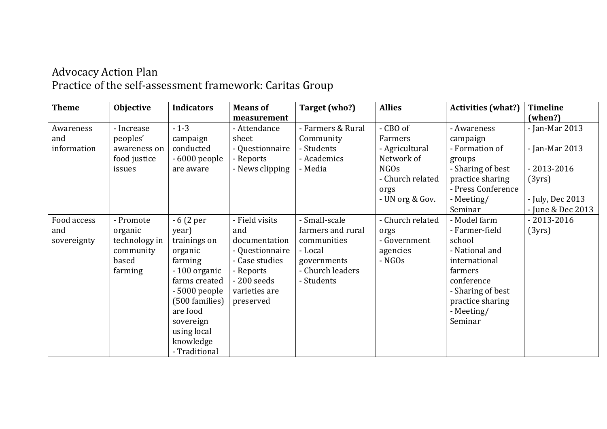## Advocacy Action Plan Practice of the self-assessment framework: Caritas Group

| <b>Theme</b> | <b>Objective</b> | <b>Indicators</b> | <b>Means of</b> | Target (who?)     | <b>Allies</b>    | <b>Activities (what?)</b> | <b>Timeline</b>   |
|--------------|------------------|-------------------|-----------------|-------------------|------------------|---------------------------|-------------------|
|              |                  |                   | measurement     |                   |                  |                           | (when?)           |
| Awareness    | - Increase       | $-1-3$            | - Attendance    | - Farmers & Rural | - CBO of         | - Awareness               | - Jan-Mar 2013    |
| and          | peoples'         | campaign          | sheet           | Community         | Farmers          | campaign                  |                   |
| information  | awareness on     | conducted         | - Questionnaire | - Students        | - Agricultural   | - Formation of            | - Jan-Mar 2013    |
|              | food justice     | - 6000 people     | - Reports       | - Academics       | Network of       | groups                    |                   |
|              | issues           | are aware         | - News clipping | - Media           | <b>NGOs</b>      | - Sharing of best         | $-2013 - 2016$    |
|              |                  |                   |                 |                   | - Church related | practice sharing          | (3yrs)            |
|              |                  |                   |                 |                   | orgs             | - Press Conference        |                   |
|              |                  |                   |                 |                   | - UN org & Gov.  | - Meeting/                | - July, Dec 2013  |
|              |                  |                   |                 |                   |                  | Seminar                   | - June & Dec 2013 |
| Food access  | - Promote        | $-6(2per)$        | - Field visits  | - Small-scale     | - Church related | - Model farm              | $-2013 - 2016$    |
| and          | organic          | year)             | and             | farmers and rural | orgs             | - Farmer-field            | (3yrs)            |
| sovereignty  | technology in    | trainings on      | documentation   | communities       | - Government     | school                    |                   |
|              | community        | organic           | - Questionnaire | - Local           | agencies         | - National and            |                   |
|              | based            | farming           | - Case studies  | governments       | - NGOs           | international             |                   |
|              | farming          | -100 organic      | - Reports       | - Church leaders  |                  | farmers                   |                   |
|              |                  | farms created     | $-200$ seeds    | - Students        |                  | conference                |                   |
|              |                  | - 5000 people     | varieties are   |                   |                  | - Sharing of best         |                   |
|              |                  | (500 families)    | preserved       |                   |                  | practice sharing          |                   |
|              |                  | are food          |                 |                   |                  | - Meeting/                |                   |
|              |                  | sovereign         |                 |                   |                  | Seminar                   |                   |
|              |                  | using local       |                 |                   |                  |                           |                   |
|              |                  | knowledge         |                 |                   |                  |                           |                   |
|              |                  | - Traditional     |                 |                   |                  |                           |                   |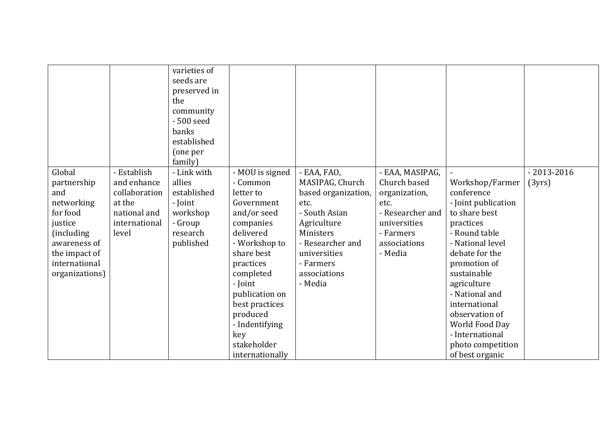|                                                                                                                                                      |                                                                                                 | varieties of<br>seeds are<br>preserved in<br>the<br>community<br>- 500 seed<br>banks<br>established<br>(one per<br>family) |                                                                                                                                                                                                                                                                                |                                                                                                                                                                                        |                                                                                                                                      |                                                                                                                                                                                                                                                                                                                           |                          |
|------------------------------------------------------------------------------------------------------------------------------------------------------|-------------------------------------------------------------------------------------------------|----------------------------------------------------------------------------------------------------------------------------|--------------------------------------------------------------------------------------------------------------------------------------------------------------------------------------------------------------------------------------------------------------------------------|----------------------------------------------------------------------------------------------------------------------------------------------------------------------------------------|--------------------------------------------------------------------------------------------------------------------------------------|---------------------------------------------------------------------------------------------------------------------------------------------------------------------------------------------------------------------------------------------------------------------------------------------------------------------------|--------------------------|
| Global<br>partnership<br>and<br>networking<br>for food<br>justice<br>(including)<br>awareness of<br>the impact of<br>international<br>organizations) | - Establish<br>and enhance<br>collaboration<br>at the<br>national and<br>international<br>level | - Link with<br>allies<br>established<br>- Joint<br>workshop<br>- Group<br>research<br>published                            | - MOU is signed<br>- Common<br>letter to<br>Government<br>and/or seed<br>companies<br>delivered<br>- Workshop to<br>share best<br>practices<br>completed<br>- Joint<br>publication on<br>best practices<br>produced<br>- Indentifying<br>key<br>stakeholder<br>internationally | - EAA, FAO,<br>MASIPAG, Church<br>based organization,<br>etc.<br>- South Asian<br>Agriculture<br>Ministers<br>- Researcher and<br>universities<br>- Farmers<br>associations<br>- Media | - EAA, MASIPAG,<br>Church based<br>organization,<br>etc.<br>- Researcher and<br>universities<br>- Farmers<br>associations<br>- Media | Workshop/Farmer<br>conference<br>- Joint publication<br>to share best<br>practices<br>- Round table<br>- National level<br>debate for the<br>promotion of<br>sustainable<br>agriculture<br>- National and<br>international<br>observation of<br>World Food Day<br>- International<br>photo competition<br>of best organic | $-2013 - 2016$<br>(3yrs) |